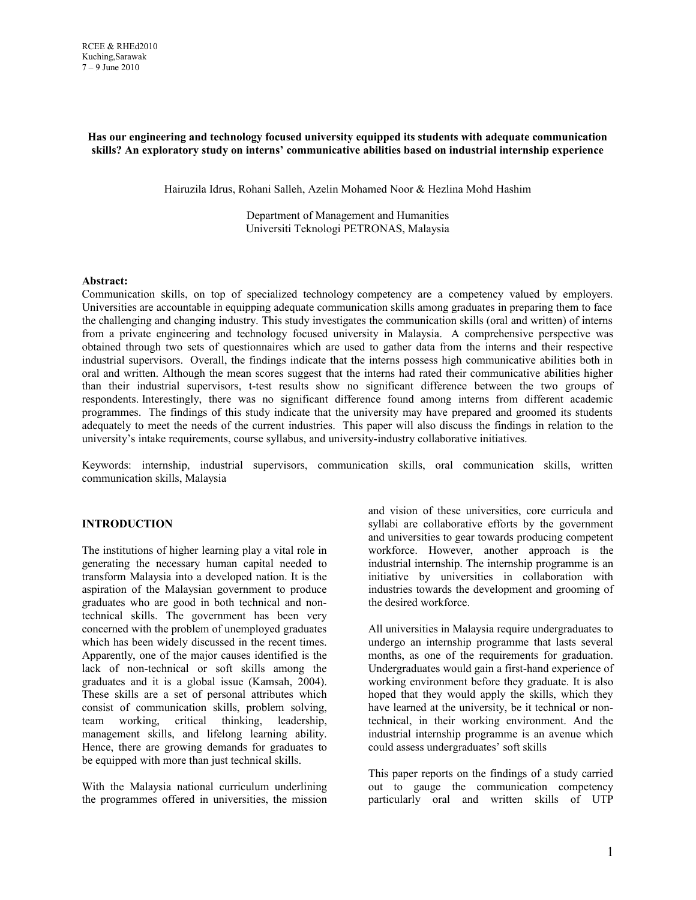### **Has our engineering and technology focused university equipped its students with adequate communication skills? An exploratory study on interns' communicative abilities based on industrial internship experience**

Hairuzila Idrus, Rohani Salleh, Azelin Mohamed Noor & Hezlina Mohd Hashim

Department of Management and Humanities Universiti Teknologi PETRONAS, Malaysia

#### **Abstract:**

Communication skills, on top of specialized technology competency are a competency valued by employers. Universities are accountable in equipping adequate communication skills among graduates in preparing them to face the challenging and changing industry. This study investigates the communication skills (oral and written) of interns from a private engineering and technology focused university in Malaysia. A comprehensive perspective was obtained through two sets of questionnaires which are used to gather data from the interns and their respective industrial supervisors. Overall, the findings indicate that the interns possess high communicative abilities both in oral and written. Although the mean scores suggest that the interns had rated their communicative abilities higher than their industrial supervisors, t-test results show no significant difference between the two groups of respondents. Interestingly, there was no significant difference found among interns from different academic programmes. The findings of this study indicate that the university may have prepared and groomed its students adequately to meet the needs of the current industries. This paper will also discuss the findings in relation to the university's intake requirements, course syllabus, and university-industry collaborative initiatives.

Keywords: internship, industrial supervisors, communication skills, oral communication skills, written communication skills, Malaysia

### **INTRODUCTION**

The institutions of higher learning play a vital role in generating the necessary human capital needed to transform Malaysia into a developed nation. It is the aspiration of the Malaysian government to produce graduates who are good in both technical and nontechnical skills. The government has been very concerned with the problem of unemployed graduates which has been widely discussed in the recent times. Apparently, one of the major causes identified is the lack of non-technical or soft skills among the graduates and it is a global issue (Kamsah, 2004). These skills are a set of personal attributes which consist of communication skills, problem solving, team working, critical thinking, leadership, management skills, and lifelong learning ability. Hence, there are growing demands for graduates to be equipped with more than just technical skills.

With the Malaysia national curriculum underlining the programmes offered in universities, the mission and vision of these universities, core curricula and syllabi are collaborative efforts by the government and universities to gear towards producing competent workforce. However, another approach is the industrial internship. The internship programme is an initiative by universities in collaboration with industries towards the development and grooming of the desired workforce.

All universities in Malaysia require undergraduates to undergo an internship programme that lasts several months, as one of the requirements for graduation. Undergraduates would gain a first-hand experience of working environment before they graduate. It is also hoped that they would apply the skills, which they have learned at the university, be it technical or nontechnical, in their working environment. And the industrial internship programme is an avenue which could assess undergraduates' soft skills

This paper reports on the findings of a study carried out to gauge the communication competency particularly oral and written skills of UTP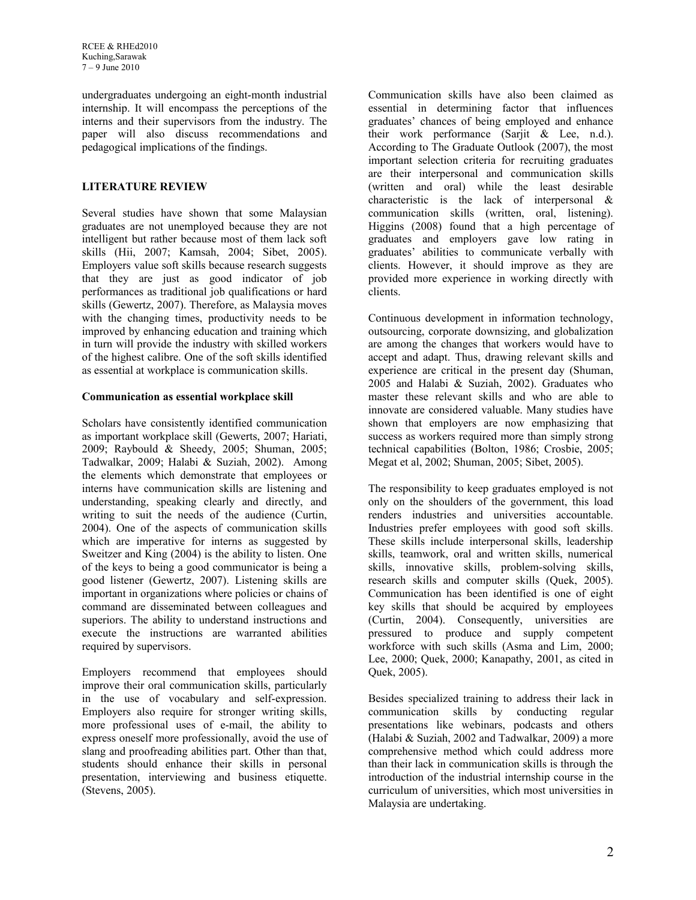undergraduates undergoing an eight-month industrial internship. It will encompass the perceptions of the interns and their supervisors from the industry. The paper will also discuss recommendations and pedagogical implications of the findings.

# **LITERATURE REVIEW**

Several studies have shown that some Malaysian graduates are not unemployed because they are not intelligent but rather because most of them lack soft skills (Hii, 2007; Kamsah, 2004; Sibet, 2005). Employers value soft skills because research suggests that they are just as good indicator of job performances as traditional job qualifications or hard skills (Gewertz, 2007). Therefore, as Malaysia moves with the changing times, productivity needs to be improved by enhancing education and training which in turn will provide the industry with skilled workers of the highest calibre. One of the soft skills identified as essential at workplace is communication skills.

# **Communication as essential workplace skill**

Scholars have consistently identified communication as important workplace skill (Gewerts, 2007; Hariati, 2009; Raybould & Sheedy, 2005; Shuman, 2005; Tadwalkar, 2009; Halabi & Suziah, 2002). Among the elements which demonstrate that employees or interns have communication skills are listening and understanding, speaking clearly and directly, and writing to suit the needs of the audience (Curtin, 2004). One of the aspects of communication skills which are imperative for interns as suggested by Sweitzer and King (2004) is the ability to listen. One of the keys to being a good communicator is being a good listener (Gewertz, 2007). Listening skills are important in organizations where policies or chains of command are disseminated between colleagues and superiors. The ability to understand instructions and execute the instructions are warranted abilities required by supervisors.

Employers recommend that employees should improve their oral communication skills, particularly in the use of vocabulary and self-expression. Employers also require for stronger writing skills, more professional uses of e-mail, the ability to express oneself more professionally, avoid the use of slang and proofreading abilities part. Other than that, students should enhance their skills in personal presentation, interviewing and business etiquette. (Stevens, 2005).

Communication skills have also been claimed as essential in determining factor that influences graduates' chances of being employed and enhance their work performance (Sarjit & Lee, n.d.). According to The Graduate Outlook (2007), the most important selection criteria for recruiting graduates are their interpersonal and communication skills (written and oral) while the least desirable characteristic is the lack of interpersonal & communication skills (written, oral, listening). Higgins (2008) found that a high percentage of graduates and employers gave low rating in graduates' abilities to communicate verbally with clients. However, it should improve as they are provided more experience in working directly with clients.

Continuous development in information technology, outsourcing, corporate downsizing, and globalization are among the changes that workers would have to accept and adapt. Thus, drawing relevant skills and experience are critical in the present day (Shuman, 2005 and Halabi & Suziah, 2002). Graduates who master these relevant skills and who are able to innovate are considered valuable. Many studies have shown that employers are now emphasizing that success as workers required more than simply strong technical capabilities (Bolton, 1986; Crosbie, 2005; Megat et al, 2002; Shuman, 2005; Sibet, 2005).

The responsibility to keep graduates employed is not only on the shoulders of the government, this load renders industries and universities accountable. Industries prefer employees with good soft skills. These skills include interpersonal skills, leadership skills, teamwork, oral and written skills, numerical skills, innovative skills, problem-solving skills, research skills and computer skills (Quek, 2005). Communication has been identified is one of eight key skills that should be acquired by employees (Curtin, 2004). Consequently, universities are pressured to produce and supply competent workforce with such skills (Asma and Lim, 2000; Lee, 2000; Quek, 2000; Kanapathy, 2001, as cited in Quek, 2005).

Besides specialized training to address their lack in communication skills by conducting regular presentations like webinars, podcasts and others (Halabi & Suziah, 2002 and Tadwalkar, 2009) a more comprehensive method which could address more than their lack in communication skills is through the introduction of the industrial internship course in the curriculum of universities, which most universities in Malaysia are undertaking.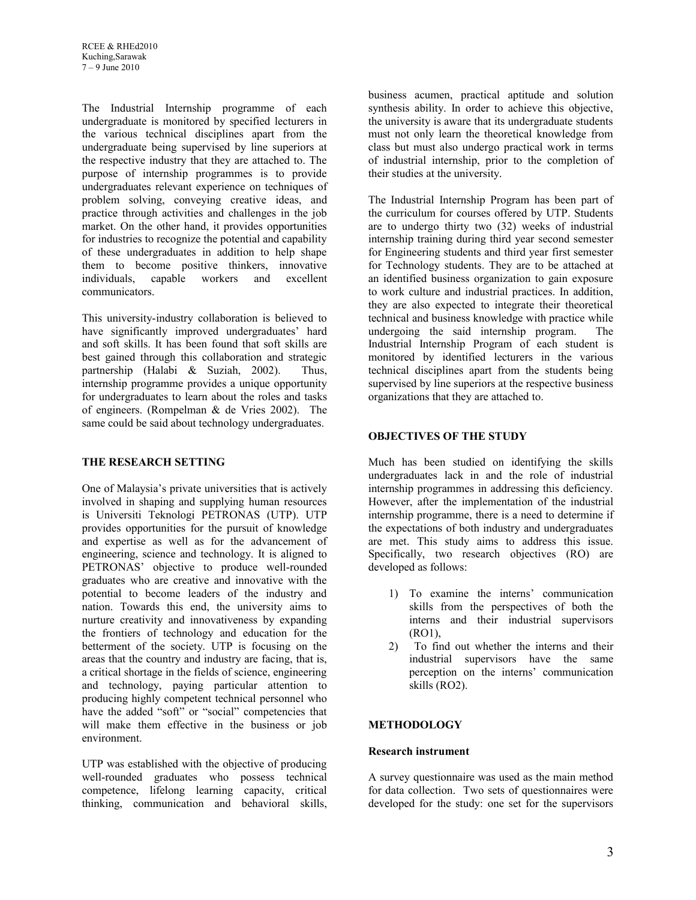The Industrial Internship programme of each undergraduate is monitored by specified lecturers in the various technical disciplines apart from the undergraduate being supervised by line superiors at the respective industry that they are attached to. The purpose of internship programmes is to provide undergraduates relevant experience on techniques of problem solving, conveying creative ideas, and practice through activities and challenges in the job market. On the other hand, it provides opportunities for industries to recognize the potential and capability of these undergraduates in addition to help shape them to become positive thinkers, innovative individuals, capable workers and excellent communicators.

This university-industry collaboration is believed to have significantly improved undergraduates' hard and soft skills. It has been found that soft skills are best gained through this collaboration and strategic partnership (Halabi & Suziah, 2002). Thus, internship programme provides a unique opportunity for undergraduates to learn about the roles and tasks of engineers. (Rompelman & de Vries 2002). The same could be said about technology undergraduates.

# **THE RESEARCH SETTING**

One of Malaysia's private universities that is actively involved in shaping and supplying human resources is Universiti Teknologi PETRONAS (UTP). UTP provides opportunities for the pursuit of knowledge and expertise as well as for the advancement of engineering, science and technology. It is aligned to PETRONAS' objective to produce well-rounded graduates who are creative and innovative with the potential to become leaders of the industry and nation. Towards this end, the university aims to nurture creativity and innovativeness by expanding the frontiers of technology and education for the betterment of the society. UTP is focusing on the areas that the country and industry are facing, that is, a critical shortage in the fields of science, engineering and technology, paying particular attention to producing highly competent technical personnel who have the added "soft" or "social" competencies that will make them effective in the business or job environment.

UTP was established with the objective of producing well-rounded graduates who possess technical competence, lifelong learning capacity, critical thinking, communication and behavioral skills, business acumen, practical aptitude and solution synthesis ability. In order to achieve this objective, the university is aware that its undergraduate students must not only learn the theoretical knowledge from class but must also undergo practical work in terms of industrial internship, prior to the completion of their studies at the university.

The Industrial Internship Program has been part of the curriculum for courses offered by UTP. Students are to undergo thirty two (32) weeks of industrial internship training during third year second semester for Engineering students and third year first semester for Technology students. They are to be attached at an identified business organization to gain exposure to work culture and industrial practices. In addition, they are also expected to integrate their theoretical technical and business knowledge with practice while undergoing the said internship program. The Industrial Internship Program of each student is monitored by identified lecturers in the various technical disciplines apart from the students being supervised by line superiors at the respective business organizations that they are attached to.

# **OBJECTIVES OF THE STUDY**

Much has been studied on identifying the skills undergraduates lack in and the role of industrial internship programmes in addressing this deficiency. However, after the implementation of the industrial internship programme, there is a need to determine if the expectations of both industry and undergraduates are met. This study aims to address this issue. Specifically, two research objectives (RO) are developed as follows:

- 1) To examine the interns' communication skills from the perspectives of both the interns and their industrial supervisors (RO1),
- 2) To find out whether the interns and their industrial supervisors have the same perception on the interns' communication skills (RO2).

# **METHODOLOGY**

# **Research instrument**

A survey questionnaire was used as the main method for data collection. Two sets of questionnaires were developed for the study: one set for the supervisors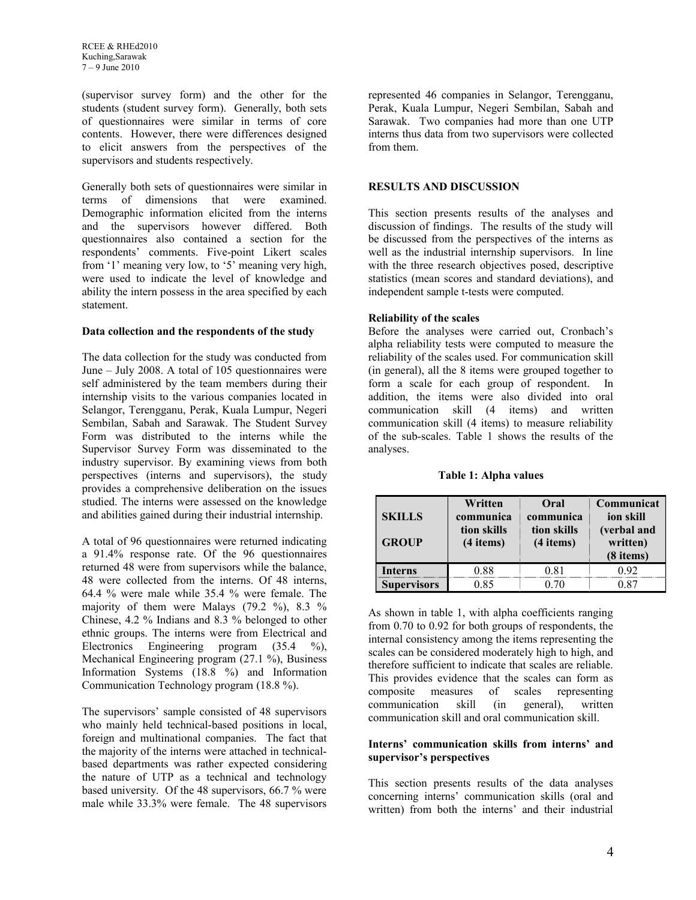(supervisor survey form) and the other for the students (student survey form). Generally, both sets of questionnaires were similar in terms of core contents. However, there were differences designed to elicit answers from the perspectives of the supervisors and students respectively.

Generally both sets of questionnaires were similar in terms of dimensions that were examined. Demographic information elicited from the interns and the supervisors however differed. Both questionnaires also contained a section for the respondents' comments. Five-point Likert scales from '1' meaning very low, to '5' meaning very high, were used to indicate the level of knowledge and ability the intern possess in the area specified by each statement.

#### **Data collection and the respondents of the study**

The data collection for the study was conducted from June – July 2008. A total of 105 questionnaires were self administered by the team members during their internship visits to the various companies located in Selangor, Terengganu, Perak, Kuala Lumpur, Negeri Sembilan, Sabah and Sarawak. The Student Survey Form was distributed to the interns while the Supervisor Survey Form was disseminated to the industry supervisor. By examining views from both perspectives (interns and supervisors), the study provides a comprehensive deliberation on the issues studied. The interns were assessed on the knowledge and abilities gained during their industrial internship.

A total of 96 questionnaires were returned indicating a 91.4% response rate. Of the 96 questionnaires returned 48 were from supervisors while the balance, 48 were collected from the interns. Of 48 interns, 64.4 % were male while 35.4 % were female. The majority of them were Malays (79.2 %), 8.3 % Chinese, 4.2 % Indians and 8.3 % belonged to other ethnic groups. The interns were from Electrical and Electronics Engineering program (35.4 %), Mechanical Engineering program (27.1 %), Business Information Systems (18.8 %) and Information Communication Technology program (18.8 %).

The supervisors' sample consisted of 48 supervisors who mainly held technical-based positions in local, foreign and multinational companies. The fact that the majority of the interns were attached in technicalbased departments was rather expected considering the nature of UTP as a technical and technology based university. Of the 48 supervisors, 66.7 % were male while 33.3% were female. The 48 supervisors represented 46 companies in Selangor, Terengganu, Perak, Kuala Lumpur, Negeri Sembilan, Sabah and Sarawak. Two companies had more than one UTP interns thus data from two supervisors were collected from them.

#### **RESULTS AND DISCUSSION**

This section presents results of the analyses and discussion of findings. The results of the study will be discussed from the perspectives of the interns as well as the industrial internship supervisors. In line with the three research objectives posed, descriptive statistics (mean scores and standard deviations), and independent sample t-tests were computed.

### **Reliability of the scales**

Before the analyses were carried out, Cronbach's alpha reliability tests were computed to measure the reliability of the scales used. For communication skill (in general), all the 8 items were grouped together to form a scale for each group of respondent. In addition, the items were also divided into oral communication skill (4 items) and written communication skill (4 items) to measure reliability of the sub-scales. Table 1 shows the results of the analyses.

**Table 1: Alpha values**

| <b>SKILLS</b><br><b>GROUP</b> | Written<br>communica<br>tion skills<br>(4 items) | Oral<br>communica<br>tion skills<br>(4 items) | Communicat<br>ion skill<br>(verbal and<br>written)<br>(8 items) |  |
|-------------------------------|--------------------------------------------------|-----------------------------------------------|-----------------------------------------------------------------|--|
| <b>Interns</b>                | 0.88                                             | 0.81                                          | 0.92                                                            |  |
| <b>Supervisors</b>            | 0.85                                             | 0.70                                          | 0 87                                                            |  |

As shown in table 1, with alpha coefficients ranging from 0.70 to 0.92 for both groups of respondents, the internal consistency among the items representing the scales can be considered moderately high to high, and therefore sufficient to indicate that scales are reliable. This provides evidence that the scales can form as composite measures of scales representing communication skill (in general), written communication skill and oral communication skill.

### **Interns' communication skills from interns' and supervisor's perspectives**

This section presents results of the data analyses concerning interns' communication skills (oral and written) from both the interns' and their industrial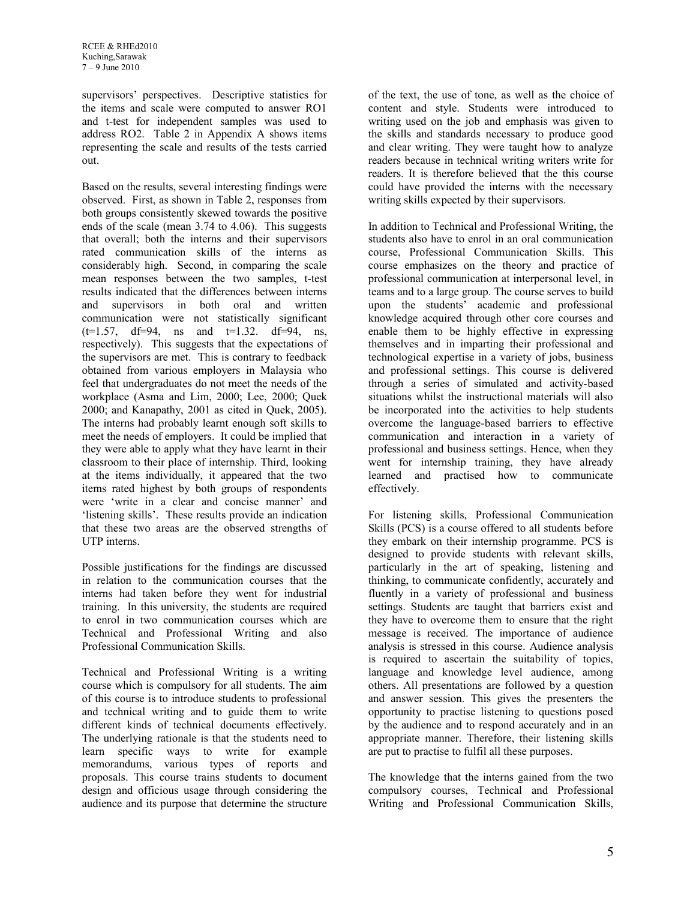supervisors' perspectives. Descriptive statistics for the items and scale were computed to answer RO1 and t-test for independent samples was used to address RO2. Table 2 in Appendix A shows items representing the scale and results of the tests carried out.

Based on the results, several interesting findings were observed. First, as shown in Table 2, responses from both groups consistently skewed towards the positive ends of the scale (mean 3.74 to 4.06). This suggests that overall; both the interns and their supervisors rated communication skills of the interns as considerably high. Second, in comparing the scale mean responses between the two samples, t-test results indicated that the differences between interns and supervisors in both oral and written communication were not statistically significant  $(t=1.57, df=94, ns and t=1.32. df=94, ns,$ respectively). This suggests that the expectations of the supervisors are met. This is contrary to feedback obtained from various employers in Malaysia who feel that undergraduates do not meet the needs of the workplace (Asma and Lim, 2000; Lee, 2000; Quek 2000; and Kanapathy, 2001 as cited in Quek, 2005). The interns had probably learnt enough soft skills to meet the needs of employers. It could be implied that they were able to apply what they have learnt in their classroom to their place of internship. Third, looking at the items individually, it appeared that the two items rated highest by both groups of respondents were 'write in a clear and concise manner' and 'listening skills'. These results provide an indication that these two areas are the observed strengths of UTP interns.

Possible justifications for the findings are discussed in relation to the communication courses that the interns had taken before they went for industrial training. In this university, the students are required to enrol in two communication courses which are Technical and Professional Writing and also Professional Communication Skills.

Technical and Professional Writing is a writing course which is compulsory for all students. The aim of this course is to introduce students to professional and technical writing and to guide them to write different kinds of technical documents effectively. The underlying rationale is that the students need to learn specific ways to write for example memorandums, various types of reports and proposals. This course trains students to document design and officious usage through considering the audience and its purpose that determine the structure

of the text, the use of tone, as well as the choice of content and style. Students were introduced to writing used on the job and emphasis was given to the skills and standards necessary to produce good and clear writing. They were taught how to analyze readers because in technical writing writers write for readers. It is therefore believed that the this course could have provided the interns with the necessary writing skills expected by their supervisors.

In addition to Technical and Professional Writing, the students also have to enrol in an oral communication course, Professional Communication Skills. This course emphasizes on the theory and practice of professional communication at interpersonal level, in teams and to a large group. The course serves to build upon the students' academic and professional knowledge acquired through other core courses and enable them to be highly effective in expressing themselves and in imparting their professional and technological expertise in a variety of jobs, business and professional settings. This course is delivered through a series of simulated and activity-based situations whilst the instructional materials will also be incorporated into the activities to help students overcome the language-based barriers to effective communication and interaction in a variety of professional and business settings. Hence, when they went for internship training, they have already learned and practised how to communicate effectively.

For listening skills, Professional Communication Skills (PCS) is a course offered to all students before they embark on their internship programme. PCS is designed to provide students with relevant skills, particularly in the art of speaking, listening and thinking, to communicate confidently, accurately and fluently in a variety of professional and business settings. Students are taught that barriers exist and they have to overcome them to ensure that the right message is received. The importance of audience analysis is stressed in this course. Audience analysis is required to ascertain the suitability of topics, language and knowledge level audience, among others. All presentations are followed by a question and answer session. This gives the presenters the opportunity to practise listening to questions posed by the audience and to respond accurately and in an appropriate manner. Therefore, their listening skills are put to practise to fulfil all these purposes.

The knowledge that the interns gained from the two compulsory courses, Technical and Professional Writing and Professional Communication Skills,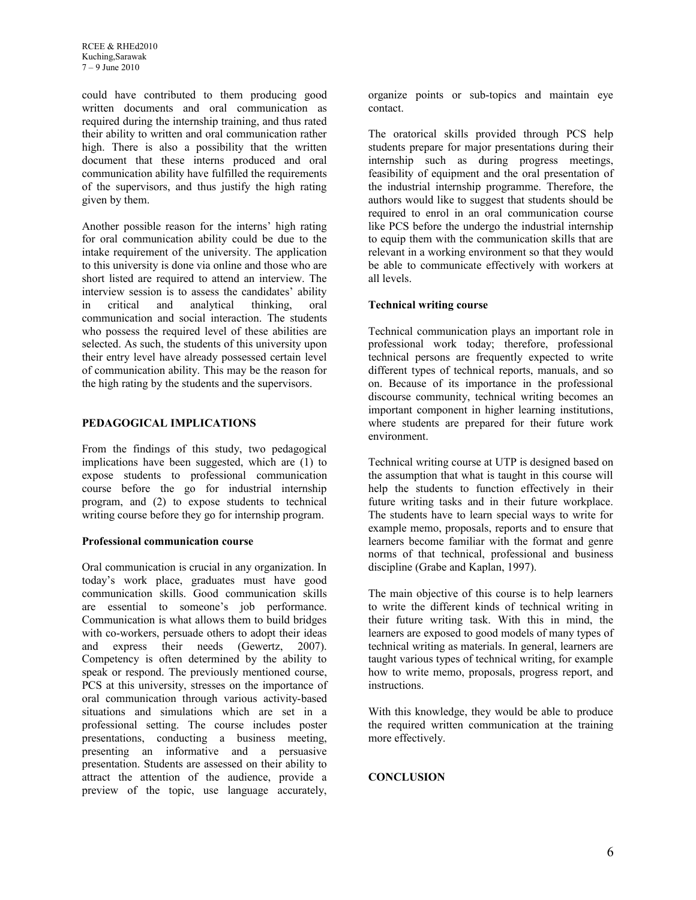could have contributed to them producing good written documents and oral communication as required during the internship training, and thus rated their ability to written and oral communication rather high. There is also a possibility that the written document that these interns produced and oral communication ability have fulfilled the requirements of the supervisors, and thus justify the high rating given by them.

Another possible reason for the interns' high rating for oral communication ability could be due to the intake requirement of the university. The application to this university is done via online and those who are short listed are required to attend an interview. The interview session is to assess the candidates' ability in critical and analytical thinking, oral communication and social interaction. The students who possess the required level of these abilities are selected. As such, the students of this university upon their entry level have already possessed certain level of communication ability. This may be the reason for the high rating by the students and the supervisors.

# **PEDAGOGICAL IMPLICATIONS**

From the findings of this study, two pedagogical implications have been suggested, which are (1) to expose students to professional communication course before the go for industrial internship program, and (2) to expose students to technical writing course before they go for internship program.

#### **Professional communication course**

Oral communication is crucial in any organization. In today's work place, graduates must have good communication skills. Good communication skills are essential to someone's job performance. Communication is what allows them to build bridges with co-workers, persuade others to adopt their ideas and express their needs (Gewertz, 2007). Competency is often determined by the ability to speak or respond. The previously mentioned course, PCS at this university, stresses on the importance of oral communication through various activity-based situations and simulations which are set in a professional setting. The course includes poster presentations, conducting a business meeting, presenting an informative and a persuasive presentation. Students are assessed on their ability to attract the attention of the audience, provide a preview of the topic, use language accurately,

organize points or sub-topics and maintain eye contact.

The oratorical skills provided through PCS help students prepare for major presentations during their internship such as during progress meetings, feasibility of equipment and the oral presentation of the industrial internship programme. Therefore, the authors would like to suggest that students should be required to enrol in an oral communication course like PCS before the undergo the industrial internship to equip them with the communication skills that are relevant in a working environment so that they would be able to communicate effectively with workers at all levels.

### **Technical writing course**

Technical communication plays an important role in professional work today; therefore, professional technical persons are frequently expected to write different types of technical reports, manuals, and so on. Because of its importance in the professional discourse community, technical writing becomes an important component in higher learning institutions, where students are prepared for their future work environment.

Technical writing course at UTP is designed based on the assumption that what is taught in this course will help the students to function effectively in their future writing tasks and in their future workplace. The students have to learn special ways to write for example memo, proposals, reports and to ensure that learners become familiar with the format and genre norms of that technical, professional and business discipline (Grabe and Kaplan, 1997).

The main objective of this course is to help learners to write the different kinds of technical writing in their future writing task. With this in mind, the learners are exposed to good models of many types of technical writing as materials. In general, learners are taught various types of technical writing, for example how to write memo, proposals, progress report, and instructions.

With this knowledge, they would be able to produce the required written communication at the training more effectively.

# **CONCLUSION**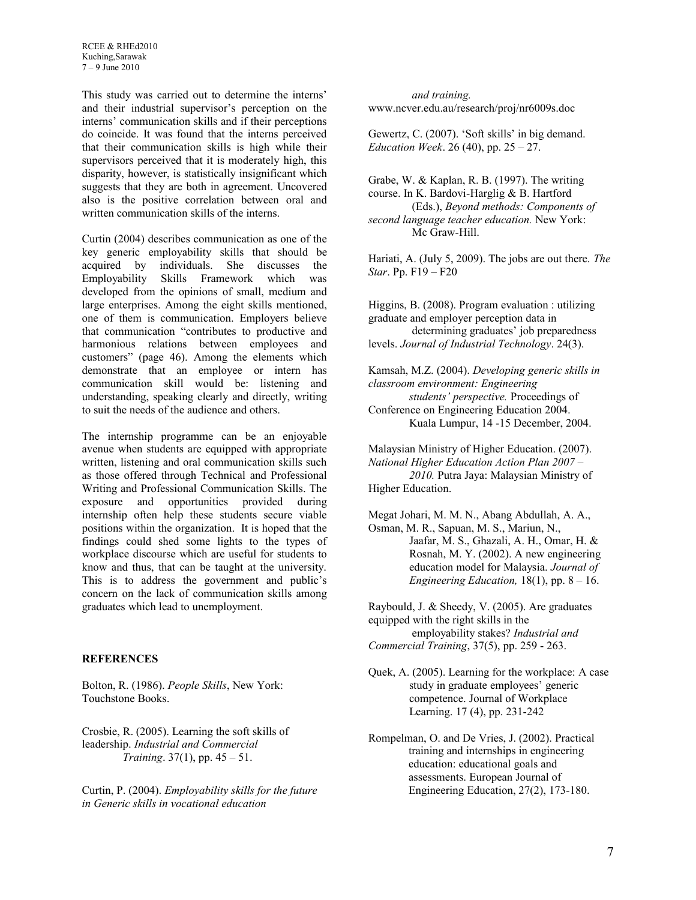This study was carried out to determine the interns' and their industrial supervisor's perception on the interns' communication skills and if their perceptions do coincide. It was found that the interns perceived that their communication skills is high while their supervisors perceived that it is moderately high, this disparity, however, is statistically insignificant which suggests that they are both in agreement. Uncovered also is the positive correlation between oral and written communication skills of the interns.

Curtin (2004) describes communication as one of the key generic employability skills that should be acquired by individuals. She discusses the Employability Skills Framework which was developed from the opinions of small, medium and large enterprises. Among the eight skills mentioned, one of them is communication. Employers believe that communication "contributes to productive and harmonious relations between employees and customers" (page 46). Among the elements which demonstrate that an employee or intern has communication skill would be: listening and understanding, speaking clearly and directly, writing to suit the needs of the audience and others.

The internship programme can be an enjoyable avenue when students are equipped with appropriate written, listening and oral communication skills such as those offered through Technical and Professional Writing and Professional Communication Skills. The exposure and opportunities provided during internship often help these students secure viable positions within the organization. It is hoped that the findings could shed some lights to the types of workplace discourse which are useful for students to know and thus, that can be taught at the university. This is to address the government and public's concern on the lack of communication skills among graduates which lead to unemployment.

# **REFERENCES**

Bolton, R. (1986). *People Skills*, New York: Touchstone Books.

Crosbie, R. (2005). Learning the soft skills of leadership. *Industrial and Commercial Training*. 37(1), pp. 45 – 51.

Curtin, P. (2004). *Employability skills for the future in Generic skills in vocational education*

 *and training.*  www.ncver.edu.au/research/proj/nr6009s.doc

Gewertz, C. (2007). 'Soft skills' in big demand. *Education Week*. 26 (40), pp. 25 – 27.

Grabe, W. & Kaplan, R. B. (1997). The writing course. In K. Bardovi-Harglig & B. Hartford (Eds.), *Beyond methods: Components of second language teacher education.* New York: Mc Graw-Hill.

Hariati, A. (July 5, 2009). The jobs are out there. *The Star*. Pp. F19 – F20

Higgins, B. (2008). Program evaluation : utilizing graduate and employer perception data in determining graduates' job preparedness levels. *Journal of Industrial Technology*. 24(3).

Kamsah, M.Z. (2004). *Developing generic skills in classroom environment: Engineering students' perspective.* Proceedings of Conference on Engineering Education 2004. Kuala Lumpur, 14 -15 December, 2004.

Malaysian Ministry of Higher Education. (2007). *National Higher Education Action Plan 2007 – 2010.* Putra Jaya: Malaysian Ministry of Higher Education.

Megat Johari, M. M. N., Abang Abdullah, A. A., Osman, M. R., Sapuan, M. S., Mariun, N., Jaafar, M. S., Ghazali, A. H., Omar, H. & Rosnah, M. Y. (2002). A new engineering education model for Malaysia. *Journal of Engineering Education,* 18(1), pp. 8 – 16.

Raybould, J. & Sheedy, V. (2005). Are graduates equipped with the right skills in the employability stakes? *Industrial and Commercial Training*, 37(5), pp. 259 - 263.

- Quek, A. (2005). Learning for the workplace: A case study in graduate employees' generic competence. Journal of Workplace Learning. 17 (4), pp. 231-242
- Rompelman, O. and De Vries, J. (2002). Practical training and internships in engineering education: educational goals and assessments. European Journal of Engineering Education, 27(2), 173-180.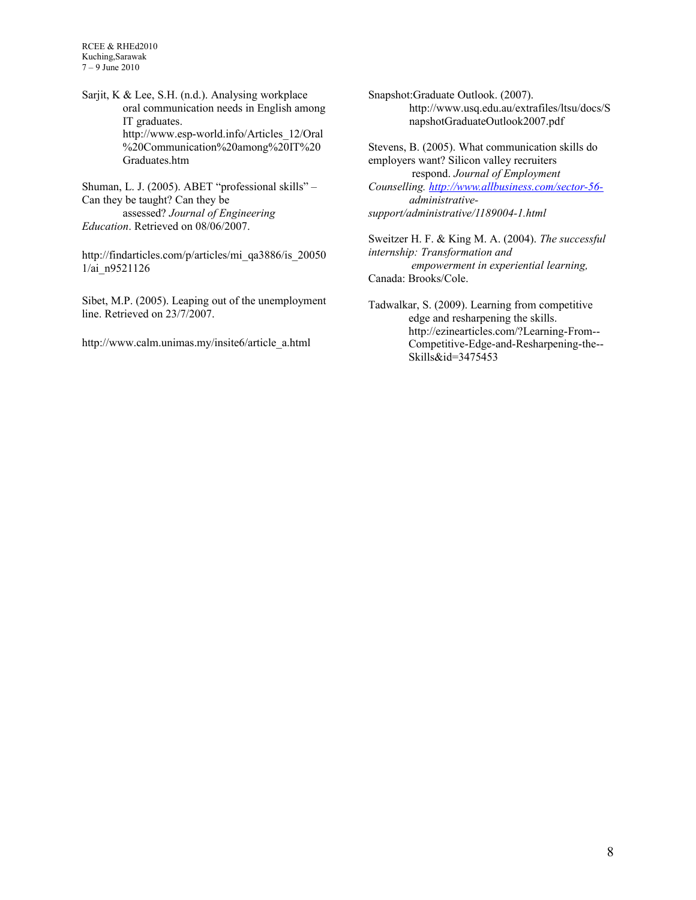RCEE & RHEd2010 Kuching,Sarawak 7 – 9 June 2010

Sarjit, K & Lee, S.H. (n.d.). Analysing workplace oral communication needs in English among IT graduates. [http://www.esp-world.info/Articles\\_12/Oral](http://www.esp-world.info/Articles_12/Oral%20Communication%20among%20IT%20) [%20Communication%20among%20IT%20](http://www.esp-world.info/Articles_12/Oral%20Communication%20among%20IT%20) Graduates.htm

Shuman, L. J. (2005). ABET "professional skills" – Can they be taught? Can they be assessed? *Journal of Engineering Education*. Retrieved on 08/06/2007.

[http://findarticles.com/p/articles/mi\\_qa3886/is\\_20050](http://findarticles.com/p/articles/mi_qa3886/is_200501/ai_n9521126) [1/ai\\_n9521126](http://findarticles.com/p/articles/mi_qa3886/is_200501/ai_n9521126)

Sibet, M.P. (2005). Leaping out of the unemployment line. Retrieved on 23/7/2007.

[http://www.calm.unimas.my/insite6/article\\_a.html](http://www.calm.unimas.my/insite6/article_a.html)

Snapshot:Graduate Outlook. (2007). [http://www.usq.edu.au/extrafiles/ltsu/docs/S](http://www.usq.edu.au/extrafiles/ltsu/docs/SnapshotGraduateOutlook2007.pdf) [napshotGraduateOutlook2007.pdf](http://www.usq.edu.au/extrafiles/ltsu/docs/SnapshotGraduateOutlook2007.pdf)

Stevens, B. (2005). What communication skills do employers want? Silicon valley recruiters respond. *Journal of Employment Counselling. [http://www.allbusiness.com/sector-56](http://www.allbusiness.com/sector-56-) administrativesupport/administrative/1189004-1.html*

Sweitzer H. F. & King M. A. (2004). *The successful internship: Transformation and empowerment in experiential learning,* Canada: Brooks/Cole.

Tadwalkar, S. (2009). Learning from competitive edge and resharpening the skills. [http://ezinearticles.com/?Learning-From--](http://ezinearticles.com/?Learning-From-Competitive-Edge-and-Resharpening-the-Skills&id=3475453) [Competitive-Edge-and-Resharpening-the--](http://ezinearticles.com/?Learning-From-Competitive-Edge-and-Resharpening-the-Skills&id=3475453) [Skills&id=3475453](http://ezinearticles.com/?Learning-From-Competitive-Edge-and-Resharpening-the-Skills&id=3475453)